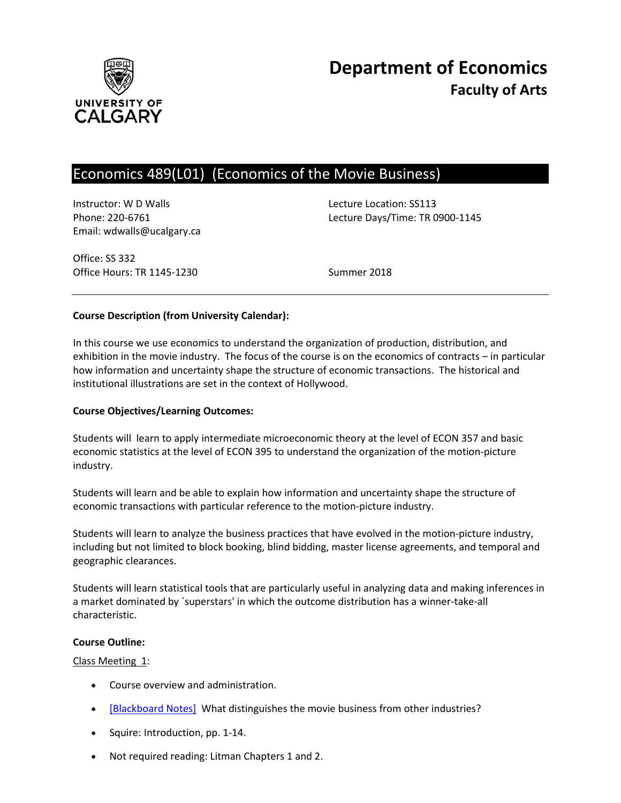

# Economics 489(L01) (Economics of the Movie Business)

Instructor: W D Walls **Lecture Location: SS113** Email: wdwalls@ucalgary.ca

Phone: 220-6761 Lecture Days/Time: TR 0900-1145

Office: SS 332 Office Hours: TR 1145-1230 Summer 2018

# **Course Description (from University Calendar):**

In this course we use economics to understand the organization of production, distribution, and exhibition in the movie industry. The focus of the course is on the economics of contracts – in particular how information and uncertainty shape the structure of economic transactions. The historical and institutional illustrations are set in the context of Hollywood.

#### **Course Objectives/Learning Outcomes:**

Students will learn to apply intermediate microeconomic theory at the level of ECON 357 and basic economic statistics at the level of ECON 395 to understand the organization of the motion-picture industry.

Students will learn and be able to explain how information and uncertainty shape the structure of economic transactions with particular reference to the motion-picture industry.

Students will learn to analyze the business practices that have evolved in the motion-picture industry, including but not limited to block booking, blind bidding, master license agreements, and temporal and geographic clearances.

Students will learn statistical tools that are particularly useful in analyzing data and making inferences in a market dominated by `superstars' in which the outcome distribution has a winner-take-all characteristic.

#### **Course Outline:**

#### Class Meeting 1:

- Course overview and administration.
- [\[Blackboard Notes\]](http://pareto.ucalgary.ca/courses/econ489/notes-week1.pdf) What distinguishes the movie business from other industries?
- Squire: Introduction, pp. 1-14.
- Not required reading: Litman Chapters 1 and 2.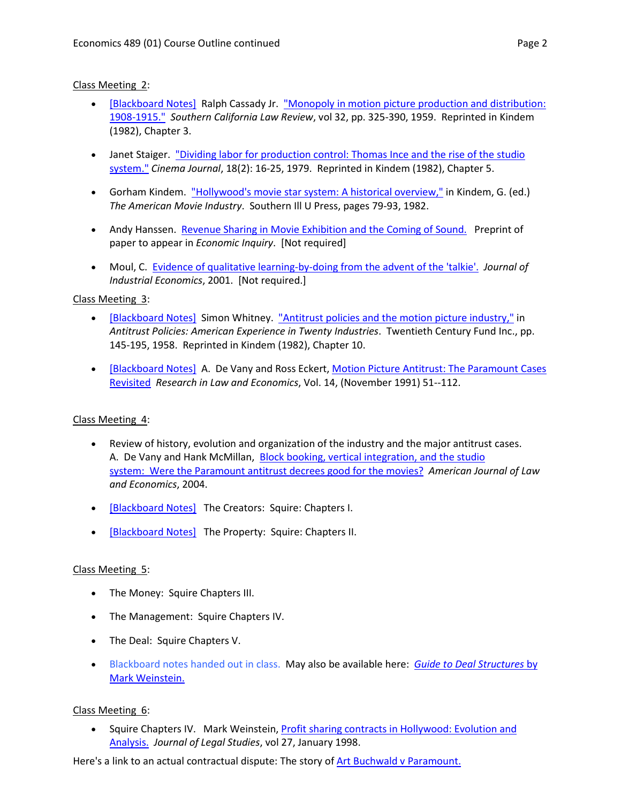### Class Meeting 2:

- [\[Blackboard Notes\]](http://pareto.ucalgary.ca/courses/econ489/notes-week2.pdf) Ralph Cassady Jr. "Monopoly in motion picture production and distribution: [1908-1915."](http://pareto.ucalgary.ca/courses/econ489/cassady.pdf) *Southern California Law Review*, vol 32, pp. 325-390, 1959. Reprinted in Kindem (1982), Chapter 3.
- Janet Staiger. "Dividing labor for production control: Thomas Ince and the rise of the studio [system."](http://pareto.ucalgary.ca/courses/econ489/staiger.pdf) *Cinema Journal*, 18(2): 16-25, 1979. Reprinted in Kindem (1982), Chapter 5.
- Gorham Kindem. ["Hollywood's movie star system: A historical overview,"](http://pareto.ucalgary.ca/courses/econ489/kindem.pdf) in Kindem, G. (ed.) *The American Movie Industry*. Southern Ill U Press, pages 79-93, 1982.
- Andy Hanssen. [Revenue Sharing in Movie Exhibition and the Coming of Sound.](http://pareto.ucalgary.ca/courses/econ489/hanssen_sound.pdf) Preprint of paper to appear in *Economic Inquiry*. [Not required]
- Moul, C. [Evidence of qualitative learning-by-doing from the advent of the 'talkie'.](http://pareto.ucalgary.ca/courses/econ489/moul-jie2001.pdf) *Journal of Industrial Economics*, 2001. [Not required.]

### Class Meeting 3:

- [\[Blackboard Notes\]](http://pareto.ucalgary.ca/courses/econ489/whitney-notes.pdf) Simon Whitney. ["Antitrust policies and the motion picture industry,"](http://pareto.ucalgary.ca/courses/econ489/whitney.pdf) in *Antitrust Policies: American Experience in Twenty Industries*. Twentieth Century Fund Inc., pp. 145-195, 1958. Reprinted in Kindem (1982), Chapter 10.
- [\[Blackboard Notes\]](http://pareto.ucalgary.ca/courses/econ489/paramount-notes.pdf) A. De Vany and Ross Eckert[, Motion Picture Antitrust: The Paramount Cases](http://pareto.ucalgary.ca/courses/econ489/Para1Full.pdf)  [Revisited](http://pareto.ucalgary.ca/courses/econ489/Para1Full.pdf) *Research in Law and Economics*, Vol. 14, (November 1991) 51--112.

#### Class Meeting 4:

- Review of history, evolution and organization of the industry and the major antitrust cases. A. De Vany and Hank McMillan, Block booking, vertical integration, and the studio system: [Were the Paramount antitrust decrees good for the movies?](http://pareto.ucalgary.ca/courses/econ489/Paramount2.pdf) *American Journal of Law and Economics*, 2004.
- [\[Blackboard Notes\]](http://pareto.ucalgary.ca/courses/econ489/jobs.pdf) The Creators: Squire: Chapters I.
- [\[Blackboard Notes\]](http://pareto.ucalgary.ca/courses/econ489/squire2.pdf) The Property: Squire: Chapters II.

# Class Meeting 5:

- The Money: Squire Chapters III.
- The Management: Squire Chapters IV.
- The Deal: Squire Chapters V.
- Blackboard notes handed out in class. May also be available here: *[Guide to Deal Structures](http://marshallinside.usc.edu/mweinstein/teaching/fbe552/552secure/notes/deal%20structures.pdf)* by [Mark Weinstein.](http://marshallinside.usc.edu/mweinstein/teaching/fbe552/552secure/notes/deal%20structures.pdf)

# Class Meeting 6:

• Squire Chapters IV. Mark Weinstein, [Profit sharing contracts in Hollywood: Evolution and](http://pareto.ucalgary.ca/courses/econ489/weinstein-jls-share.pdf)  [Analysis.](http://pareto.ucalgary.ca/courses/econ489/weinstein-jls-share.pdf) *Journal of Legal Studies*, vol 27, January 1998.

Here's a link to an actual contractual dispute: The story of [Art Buchwald v Paramount.](http://en.wikipedia.org/wiki/Buchwald_v._Paramount)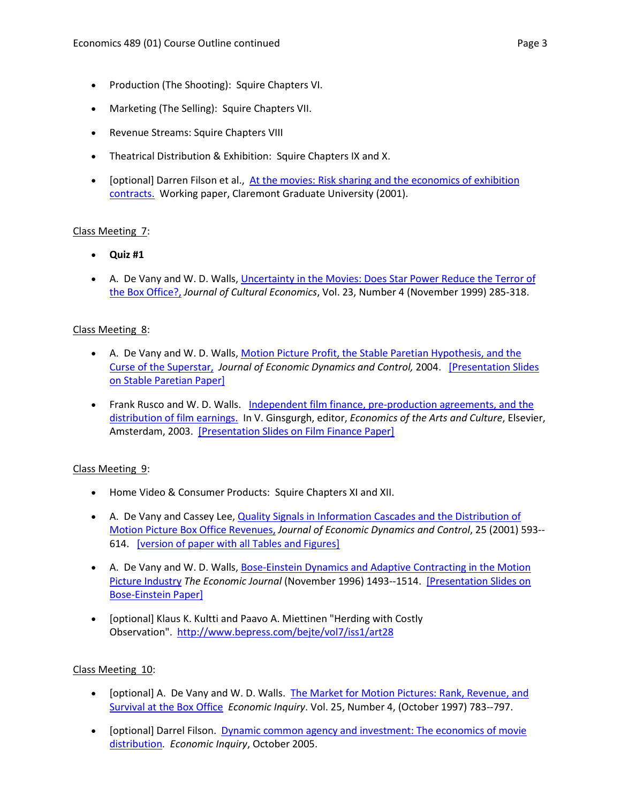- Production (The Shooting): Squire Chapters VI.
- Marketing (The Selling): Squire Chapters VII.
- Revenue Streams: Squire Chapters VIII
- Theatrical Distribution & Exhibition: Squire Chapters IX and X.
- [optional] Darren Filson et al., At the movies: Risk sharing and the economics of exhibition [contracts.](http://pareto.ucalgary.ca/courses/econ489/filson.pdf) Working paper, Claremont Graduate University (2001).

# Class Meeting 7:

- **Quiz #1**
- A. De Vany and W. D. Walls, *Uncertainty in the Movies: Does Star Power Reduce the Terror of* [the Box Office?,](http://pareto.ucalgary.ca/courses/econ489/DevanyWalls1999.pdf) *Journal of Cultural Economics*, Vol. 23, Number 4 (November 1999) 285-318.

### Class Meeting 8:

- A. De Vany and W. D. Walls[, Motion Picture Profit, the Stable Paretian Hypothesis, and the](http://pareto.ucalgary.ca/courses/econ489/DevanyWalls2004.pdf)  [Curse of the Superstar,](http://pareto.ucalgary.ca/courses/econ489/DevanyWalls2004.pdf) *Journal of Economic Dynamics and Control,* 2004. [\[Presentation Slides](http://pareto.ucalgary.ca/courses/econ489/stableslide.pdf)  [on Stable Paretian Paper\]](http://pareto.ucalgary.ca/courses/econ489/stableslide.pdf)
- Frank Rusco and W. D. Walls. Independent film finance, pre-production agreements, and the [distribution of film earnings.](http://pareto.ucalgary.ca/courses/econ489/filmfinance.pdf) In V. Ginsgurgh, editor, *Economics of the Arts and Culture*, Elsevier, Amsterdam, 2003. [\[Presentation Slides on Film Finance Paper\]](http://pareto.ucalgary.ca/courses/econ489/filmfinanceslide.pdf)

#### Class Meeting 9:

- Home Video & Consumer Products: Squire Chapters XI and XII.
- A. De Vany and Cassey Lee, Quality Signals in Information Cascades and the Distribution of [Motion Picture Box Office Revenues,](http://pareto.ucalgary.ca/courses/econ489/InfoCascadesinMovies.pdf) *Journal of Economic Dynamics and Control*, 25 (2001) 593-- 614. [\[version of paper with all Tables and Figures\]](http://pareto.ucalgary.ca/courses/econ489/devanylee.pdf)
- A. De Vany and W. D. Walls[, Bose-Einstein Dynamics and Adaptive Contracting in the Motion](http://pareto.ucalgary.ca/courses/econ489/DevanyWalls1996.pdf)  [Picture Industry](http://pareto.ucalgary.ca/courses/econ489/DevanyWalls1996.pdf) *The Economic Journal* (November 1996) 1493--1514. [\[Presentation Slides on](http://pareto.ucalgary.ca/courses/econ489/beslides.pdf)  [Bose-Einstein Paper\]](http://pareto.ucalgary.ca/courses/econ489/beslides.pdf)
- [optional] Klaus K. Kultti and Paavo A. Miettinen "Herding with Costly Observation". <http://www.bepress.com/bejte/vol7/iss1/art28>

#### Class Meeting 10:

- [optional] A. De Vany and W. D. Walls. [The Market for Motion Pictures: Rank, Revenue, and](http://pareto.ucalgary.ca/courses/econ489/DevanyWalls1997.pdf)  [Survival at the Box Office](http://pareto.ucalgary.ca/courses/econ489/DevanyWalls1997.pdf) *Economic Inquiry*. Vol. 25, Number 4, (October 1997) 783--797.
- [optional] Darrel Filson. [Dynamic common agency and investment: The economics of movie](http://pareto.ucalgary.ca/courses/econ489/filson-ei2005.pdf)  [distribution.](http://pareto.ucalgary.ca/courses/econ489/filson-ei2005.pdf) *Economic Inquiry*, October 2005.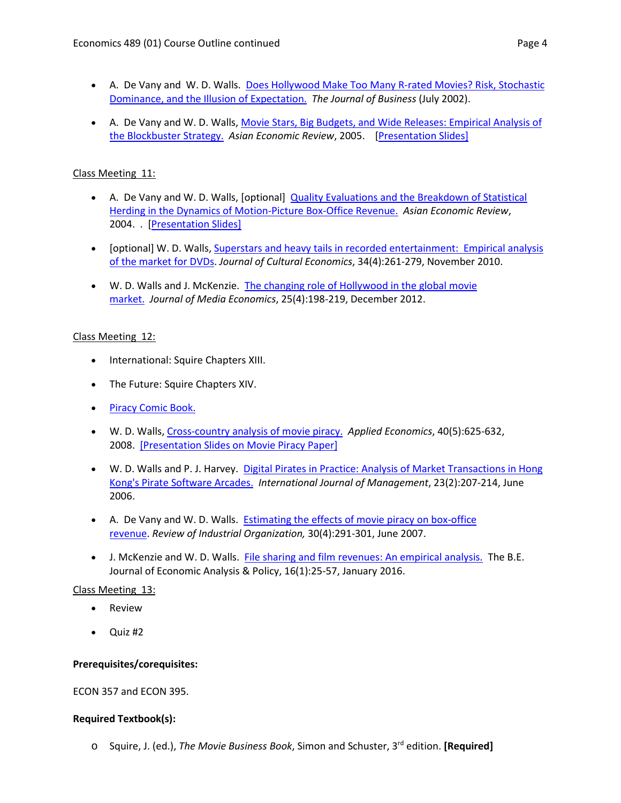- A. De Vany and W. D. Walls. [Does Hollywood Make Too Many R-rated Movies? Risk, Stochastic](http://pareto.ucalgary.ca/courses/econ489/DevanyWalls2002.pdf)  [Dominance, and the Illusion of Expectation.](http://pareto.ucalgary.ca/courses/econ489/DevanyWalls2002.pdf) *The Journal of Business* (July 2002).
- A. De Vany and W. D. Walls[, Movie Stars, Big Budgets, and Wide Releases: Empirical Analysis of](http://pareto.ucalgary.ca/courses/econ489/block.pdf) [the Blockbuster Strategy.](http://pareto.ucalgary.ca/courses/econ489/block.pdf) *Asian Economic Review*, 2005. [\[Presentation Slides\]](http://pareto.ucalgary.ca/courses/econ489/blockslide.pdf)

# Class Meeting 11:

- A. De Vany and W. D. Walls, [optional] [Quality Evaluations and the Breakdown of Statistical](http://pareto.ucalgary.ca/courses/econ489/herd3.pdf)  [Herding in the Dynamics of Motion-Picture Box-Office Revenue.](http://pareto.ucalgary.ca/courses/econ489/herd3.pdf) *Asian Economic Review*, 2004. . [\[Presentation Slides\]](http://pareto.ucalgary.ca/courses/econ489/herdslide.pdf)
- [optional] W. D. Walls, Superstars and heavy tails in [recorded entertainment: Empirical analysis](http://pareto.ucalgary.ca/courses/econ489/dvdsales2.pdf)  of the [market for DVDs.](http://pareto.ucalgary.ca/courses/econ489/dvdsales2.pdf) *Journal of Cultural Economics*, 34(4):261-279, November 2010.
- W. D. Walls and J. McKenzie. [The changing role of Hollywood in the global movie](http://pareto.ucalgary.ca/courses/econ489/walls_mckenzie_global.pdf)  [market.](http://pareto.ucalgary.ca/courses/econ489/walls_mckenzie_global.pdf) *Journal of Media Economics*, 25(4):198-219, December 2012.

# Class Meeting 12:

- International: Squire Chapters XIII.
- The Future: Squire Chapters XIV.
- [Piracy Comic Book.](http://pareto.ucalgary.ca/courses/econ489/CLSA_piracy.pdf)
- W. D. Walls, [Cross-country analysis of movie piracy.](http://pareto.ucalgary.ca/courses/econ489/mpir2.pdf) *Applied Economics*, 40(5):625-632, 2008. [\[Presentation Slides on Movie Piracy Paper\]](http://pareto.ucalgary.ca/courses/econ489/slides-cross-country-analysis-of-movie-piracy.pdf)
- W. D. Walls and P. J. Harvey. [Digital Pirates in Practice: Analysis of Market Transactions in Hong](http://pareto.ucalgary.ca/courses/econ489/psup.pdf)  [Kong's Pirate Software Arcades.](http://pareto.ucalgary.ca/courses/econ489/psup.pdf) *International Journal of Management*, 23(2):207-214, June 2006.
- A. De Vany and W. D. Walls. [Estimating the effects of movie piracy on box-office](http://pareto.ucalgary.ca/courses/econ489/DeVany-Walls-RIO-2007-preprint.pdf)  [revenue.](http://pareto.ucalgary.ca/courses/econ489/DeVany-Walls-RIO-2007-preprint.pdf) *Review of Industrial Organization,* 30(4):291-301, June 2007.
- J. McKenzie and W. D. Walls. [File sharing and film revenues: An empirical analysis.](http://pareto.ucalgary.ca/courses/econ489/piracy-1.pdf) The B.E. Journal of Economic Analysis & Policy, 16(1):25-57, January 2016.

# Class Meeting 13:

- Review
- Quiz #2

# **Prerequisites/corequisites:**

ECON 357 and ECON 395.

# **Required Textbook(s):**

o Squire, J. (ed.), *The Movie Business Book*, Simon and Schuster, 3rd edition. **[Required]**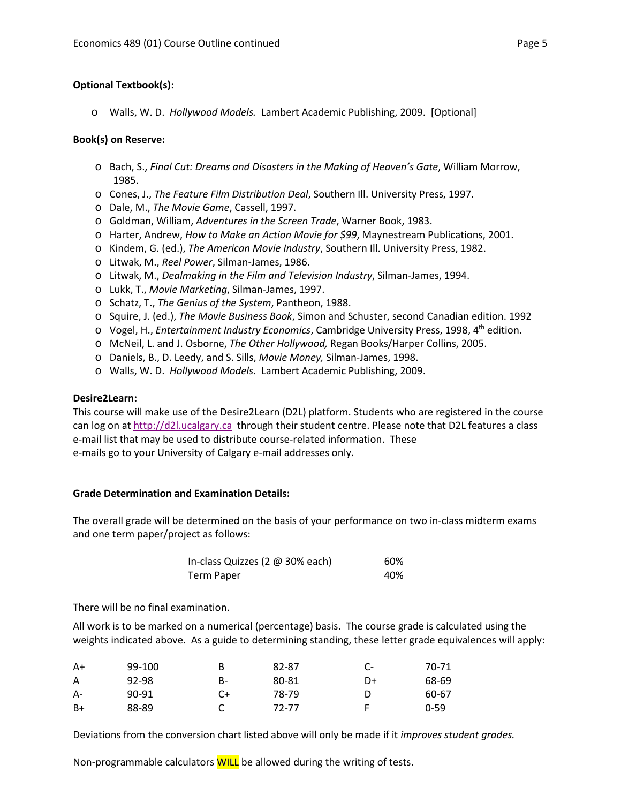#### **Optional Textbook(s):**

o Walls, W. D. *Hollywood Models.* Lambert Academic Publishing, 2009. [Optional]

#### **Book(s) on Reserve:**

- o Bach, S., *Final Cut: Dreams and Disasters in the Making of Heaven's Gate*, William Morrow, 1985.
- o Cones, J., *The Feature Film Distribution Deal*, Southern Ill. University Press, 1997.
- o Dale, M., *The Movie Game*, Cassell, 1997.
- o Goldman, William, *Adventures in the Screen Trade*, Warner Book, 1983.
- o Harter, Andrew, *How to Make an Action Movie for \$99*, Maynestream Publications, 2001.
- o Kindem, G. (ed.), *The American Movie Industry*, Southern Ill. University Press, 1982.
- o Litwak, M., *Reel Power*, Silman-James, 1986.
- o Litwak, M., *Dealmaking in the Film and Television Industry*, Silman-James, 1994.
- o Lukk, T., *Movie Marketing*, Silman-James, 1997.
- o Schatz, T., *The Genius of the System*, Pantheon, 1988.
- o Squire, J. (ed.), *The Movie Business Book*, Simon and Schuster, second Canadian edition. 1992
- o Vogel, H., *Entertainment Industry Economics*, Cambridge University Press, 1998, 4th edition.
- o McNeil, L. and J. Osborne, *The Other Hollywood,* Regan Books/Harper Collins, 2005.
- o Daniels, B., D. Leedy, and S. Sills, *Movie Money,* Silman-James, 1998.
- o Walls, W. D. *Hollywood Models*. Lambert Academic Publishing, 2009.

#### **Desire2Learn:**

This course will make use of the Desire2Learn (D2L) platform. Students who are registered in the course can log on a[t http://d2l.ucalgary.ca](http://d2l.ucalgary.ca/) through their student centre. Please note that D2L features a class e-mail list that may be used to distribute course-related information. These e-mails go to your University of Calgary e-mail addresses only.

#### **Grade Determination and Examination Details:**

The overall grade will be determined on the basis of your performance on two in-class midterm exams and one term paper/project as follows:

| In-class Quizzes (2 @ 30% each) | 60% |
|---------------------------------|-----|
| Term Paper                      | 40% |

There will be no final examination.

All work is to be marked on a numerical (percentage) basis. The course grade is calculated using the weights indicated above. As a guide to determining standing, these letter grade equivalences will apply:

| A+   | 99-100 | B  | 82-87 | $C-$ | 70-71    |
|------|--------|----|-------|------|----------|
| A    | 92-98  | B- | 80-81 | D+   | 68-69    |
| $A-$ | 90-91  | C+ | 78-79 | D    | 60-67    |
| $B+$ | 88-89  |    | 72-77 |      | $0 - 59$ |

Deviations from the conversion chart listed above will only be made if it *improves student grades.*

Non-programmable calculators **WILL** be allowed during the writing of tests.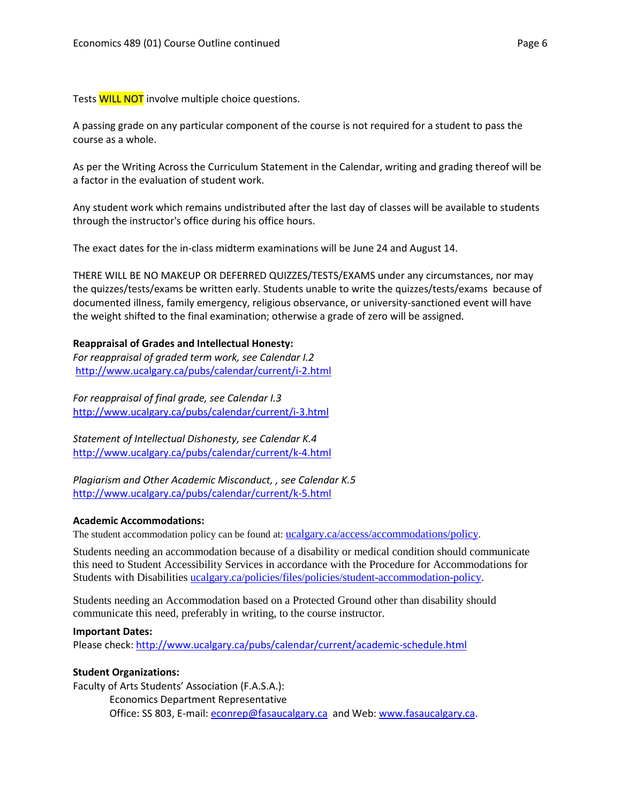Tests WILL NOT involve multiple choice questions.

A passing grade on any particular component of the course is not required for a student to pass the course as a whole.

As per the Writing Across the Curriculum Statement in the Calendar, writing and grading thereof will be a factor in the evaluation of student work.

Any student work which remains undistributed after the last day of classes will be available to students through the instructor's office during his office hours.

The exact dates for the in-class midterm examinations will be June 24 and August 14.

THERE WILL BE NO MAKEUP OR DEFERRED QUIZZES/TESTS/EXAMS under any circumstances, nor may the quizzes/tests/exams be written early. Students unable to write the quizzes/tests/exams because of documented illness, family emergency, religious observance, or university-sanctioned event will have the weight shifted to the final examination; otherwise a grade of zero will be assigned.

#### **Reappraisal of Grades and Intellectual Honesty:**

*For reappraisal of graded term work, see Calendar I.2* <http://www.ucalgary.ca/pubs/calendar/current/i-2.html>

*For reappraisal of final grade, see Calendar I.3* <http://www.ucalgary.ca/pubs/calendar/current/i-3.html>

*Statement of Intellectual Dishonesty, see Calendar K.4* <http://www.ucalgary.ca/pubs/calendar/current/k-4.html>

*Plagiarism and Other Academic Misconduct, , see Calendar K.5* <http://www.ucalgary.ca/pubs/calendar/current/k-5.html>

#### **Academic Accommodations:**

The student accommodation policy can be found at: [ucalgary.ca/access/accommodations/policy.](http://www.ucalgary.ca/access/accommodations/policy)

Students needing an accommodation because of a disability or medical condition should communicate this need to Student Accessibility Services in accordance with the Procedure for Accommodations for Students with Disabilities [ucalgary.ca/policies/files/policies/student-accommodation-policy.](http://www.ucalgary.ca/policies/files/policies/student-accommodation-policy.pdf)

Students needing an Accommodation based on a Protected Ground other than disability should communicate this need, preferably in writing, to the course instructor.

#### **Important Dates:**

Please check:<http://www.ucalgary.ca/pubs/calendar/current/academic-schedule.html>

#### **Student Organizations:**

Faculty of Arts Students' Association (F.A.S.A.): Economics Department Representative Office: SS 803, E-mail: [econrep@fasaucalgary.ca](mailto:econrep@fasaucalgary.ca) and Web[: www.fasaucalgary.ca.](http://www.fasaucalgary.ca/)